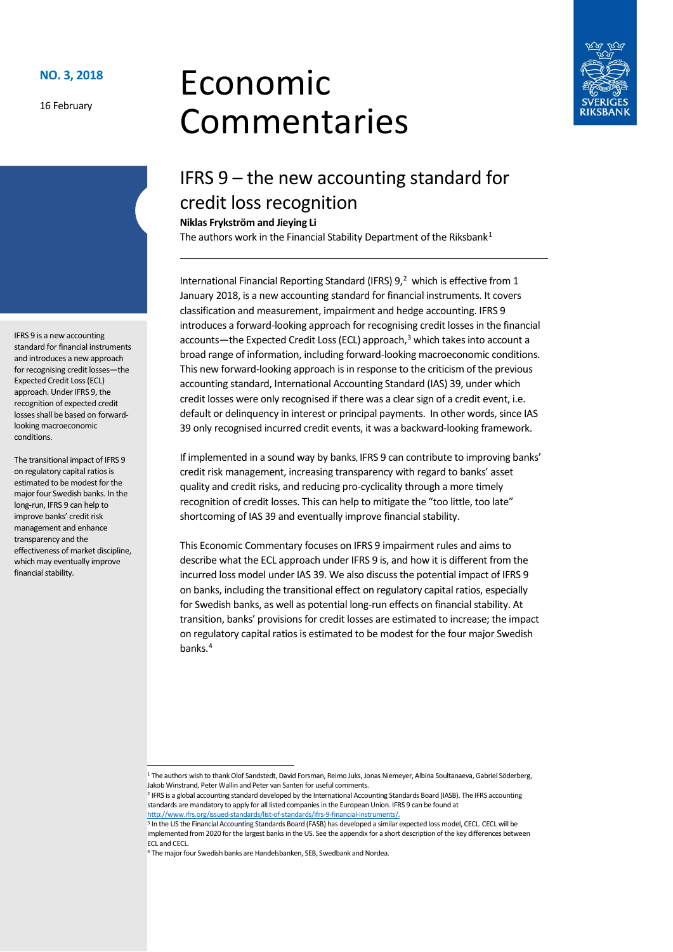16 February

IFRS 9 is a new accounting standard for financial instruments and introduces a new approach for recognising credit losses—the Expected Credit Loss (ECL) approach. Under IFRS 9, the recognition of expected credit losses shall be based on forwardlooking macroeconomic

The transitional impact of IFRS 9 on regulatory capital ratios is estimated to be modest for the major four Swedish banks. In the long-run, IFRS 9 can help to improve banks' credit risk management and enhance transparency and the

effectiveness of market discipline, which may eventually improve

financial stability.

conditions.

# Economic Commentaries



# IFRS 9 – the new accounting standard for credit loss recognition

**Niklas Frykström and Jieying Li**

The authors work in the Financial Stability Department of the Riksbank<sup>[1](#page-0-0)</sup>

International Financial Reporting Standard (IFRS)  $9,^2$  $9,^2$  which is effective from 1 January 2018, is a new accounting standard for financial instruments. It covers classification and measurement, impairment and hedge accounting. IFRS 9 introduces a forward-looking approach for recognising credit losses in the financial accounts—the Expected Credit Loss (ECL) approach, [3](#page-0-2) which takes into account a broad range of information, including forward-looking macroeconomic conditions. This new forward-looking approach is in response to the criticism of the previous accounting standard, International Accounting Standard (IAS) 39, under which credit losses were only recognised if there was a clear sign of a credit event, i.e. default or delinquency in interest or principal payments. In other words, since IAS 39 only recognised incurred credit events, it was a backward-looking framework.

If implemented in a sound way by banks, IFRS 9 can contribute to improving banks' credit risk management, increasing transparency with regard to banks' asset quality and credit risks, and reducing pro-cyclicality through a more timely recognition of credit losses. This can help to mitigate the "too little, too late" shortcoming of IAS 39 and eventually improve financial stability.

This Economic Commentary focuses on IFRS 9 impairment rules and aims to describe what the ECL approach under IFRS 9 is, and how it is different from the incurred loss model under IAS 39. We also discussthe potential impact of IFRS 9 on banks, including the transitional effect on regulatory capital ratios, especially for Swedish banks, as well as potential long-run effects on financial stability. At transition, banks' provisions for credit losses are estimated to increase; the impact on regulatory capital ratios is estimated to be modest for the four major Swedish banks. [4](#page-0-3)

 <sup>1</sup> The authors wish to thank Olof Sandstedt, David Forsman, Reimo Juks, Jonas Niemeyer, Albina Soultanaeva, Gabriel Söderberg, Jakob Winstrand, Peter Wallin and Peter van Santen for useful comments.<br><sup>2</sup> IFRS is a global accounting standard developed by the International Accounting Standards Board (IASB). The IFRS accounting

<span id="page-0-1"></span><span id="page-0-0"></span>standards are mandatory to apply for all listed companies in the European Union. IFRS 9 can be found at

<span id="page-0-2"></span>http://www.ifrs.org/issued-standards/list-of-standards/ifrs-9-financial-instruments/.<br><sup>3</sup> In the US the Financial Accounting Standards Board (FASB) has developed a similar expected loss model, CECL. CECL will be implemented from 2020 for the largest banks in the US. See the appendix for a short description of the key differences between **ECL and CECL** 

<span id="page-0-3"></span><sup>4</sup> The major four Swedish banks are Handelsbanken, SEB, Swedbank and Nordea.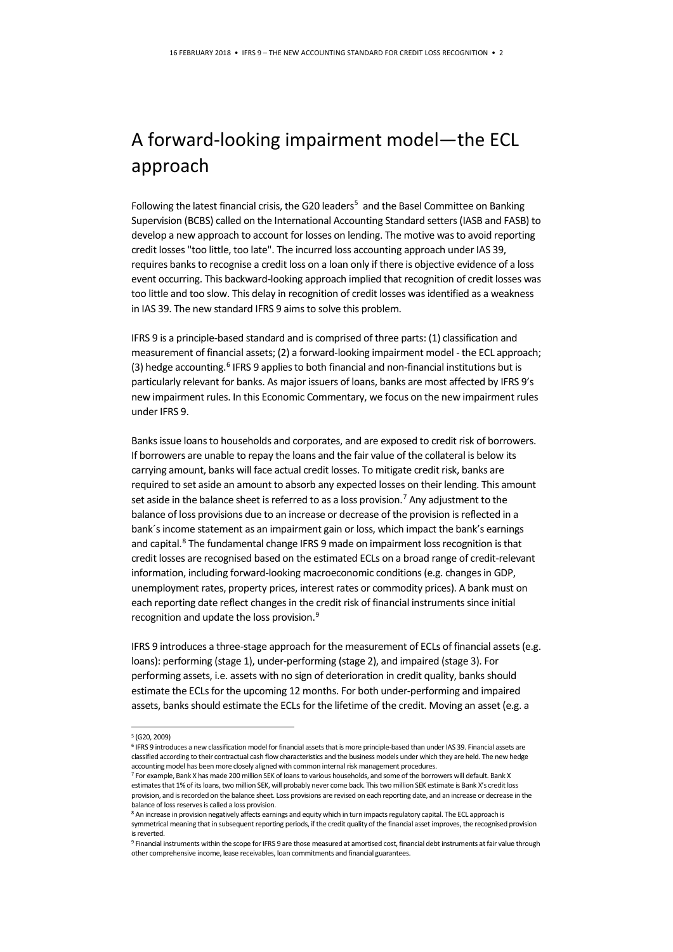# A forward-looking impairment model—the ECL approach

Following the latest financial crisis, the G20 leaders<sup>[5](#page-1-0)</sup> and the Basel Committee on Banking Supervision (BCBS) called on the International Accounting Standard setters (IASB and FASB) to develop a new approach to account for losses on lending. The motive was to avoid reporting credit losses "too little, too late". The incurred loss accounting approach under IAS 39, requires banks to recognise a credit loss on a loan only if there is objective evidence of a loss event occurring. This backward-looking approach implied that recognition of credit losses was too little and too slow. This delay in recognition of credit losses was identified as a weakness in IAS 39. The new standard IFRS 9 aims to solve this problem.

IFRS 9 is a principle-based standard and is comprised of three parts: (1) classification and measurement of financial assets; (2) a forward-looking impairment model - the ECL approach; (3) hedge accounting. $6$  IFRS 9 applies to both financial and non-financial institutions but is particularly relevant for banks. As major issuers of loans, banks are most affected by IFRS 9's new impairment rules. In this Economic Commentary, we focus on the new impairment rules under IFRS 9.

Banks issue loans to households and corporates, and are exposed to credit risk of borrowers. If borrowers are unable to repay the loans and the fair value of the collateral is below its carrying amount, banks will face actual credit losses. To mitigate credit risk, banks are required to set aside an amount to absorb any expected losses on their lending. This amount set aside in the balance sheet is referred to as a loss provision. [7](#page-1-2) Any adjustment to the balance of loss provisions due to an increase or decrease of the provision is reflected in a bank´s income statement as an impairment gain or loss, which impact the bank's earnings and capital.<sup>[8](#page-1-3)</sup> The fundamental change IFRS 9 made on impairment loss recognition is that credit losses are recognised based on the estimated ECLs on a broad range of credit-relevant information, including forward-looking macroeconomic conditions(e.g. changes in GDP, unemployment rates, property prices, interest rates or commodity prices). A bank must on each reporting date reflect changes in the credit risk of financial instruments since initial recognition and update the loss provision. [9](#page-1-4)

IFRS 9 introduces a three-stage approach for the measurement of ECLs of financial assets (e.g. loans): performing (stage 1), under-performing (stage 2), and impaired (stage 3). For performing assets, i.e. assets with no sign of deterioration in credit quality, banks should estimate the ECLs for the upcoming 12 months. For both under-performing and impaired assets, banks should estimate the ECLs for the lifetime of the credit. Moving an asset (e.g. a

 <sup>5</sup> (G20, 2009)

<span id="page-1-1"></span><span id="page-1-0"></span><sup>6</sup> IFRS 9 introduces a new classification model for financial assets that is more principle-based than under IAS 39. Financial assets are classified according to their contractual cash flow characteristics and the business models under which they are held. The new hedge accounting model has been more closely aligned with common internal risk management procedures.

<span id="page-1-2"></span> $^7$  For example, Bank X has made 200 million SEK of loans to various households, and some of the borrowers will default. Bank X estimates that 1% of its loans, two million SEK, will probably never come back. This two million SEK estimate is Bank X's credit loss provision, and is recorded on the balance sheet. Loss provisions are revised on each reporting date, and an increase or decrease in the balance of loss reserves is called a loss provision.

<span id="page-1-3"></span><sup>8</sup> An increase in provision negatively affects earnings and equity which in turn impacts regulatory capital. The ECL approach is symmetrical meaning that in subsequent reporting periods, if the credit quality of the financial asset improves, the recognised provision is reverted

<span id="page-1-4"></span><sup>9</sup> Financial instruments within the scope for IFRS 9 are those measured at amortised cost, financial debt instruments at fair value through other comprehensive income, lease receivables, loan commitments and financial guarantees.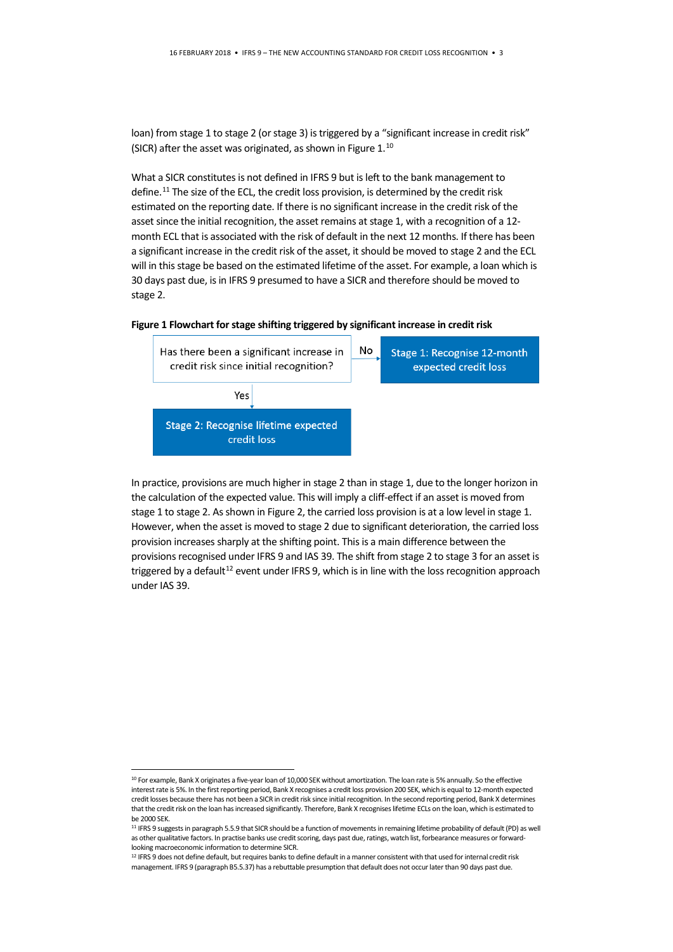loan) from stage 1 to stage 2 (or stage 3) is triggered by a "significant increase in credit risk" (SICR) after the asset was originated, as shown in Figure 1.<sup>[10](#page-2-0)</sup>

What a SICR constitutes is not defined in IFRS 9 but is left to the bank management to define.<sup>[11](#page-2-1)</sup> The size of the ECL, the credit loss provision, is determined by the credit risk estimated on the reporting date. If there is no significant increase in the credit risk of the asset since the initial recognition, the asset remains at stage 1, with a recognition of a 12 month ECL that is associated with the risk of default in the next 12 months. If there has been a significant increase in the credit risk of the asset, it should be moved to stage 2 and the ECL will in this stage be based on the estimated lifetime of the asset. For example, a loan which is 30 days past due, is in IFRS 9 presumed to have a SICR and therefore should be moved to stage 2.

#### **Figure 1 Flowchart for stage shifting triggered by significant increase in credit risk**



In practice, provisions are much higher in stage 2 than in stage 1, due to the longer horizon in the calculation of the expected value. This will imply a cliff-effect if an asset is moved from stage 1 to stage 2. As shown in Figure 2, the carried loss provision is at a low level in stage 1. However, when the asset is moved to stage 2 due to significant deterioration, the carried loss provision increases sharply at the shifting point. This is a main difference between the provisions recognised under IFRS 9 and IAS 39. The shift from stage 2 to stage 3 for an asset is triggered by a default<sup>[12](#page-2-2)</sup> event under IFRS 9, which is in line with the loss recognition approach under IAS 39.

<span id="page-2-0"></span><sup>&</sup>lt;sup>10</sup> For example, Bank X originates a five-year loan of 10,000 SEK without amortization. The loan rate is 5% annually. So the effective interest rate is 5%. In the first reporting period, Bank X recognises a credit loss provision 200 SEK, which is equal to 12-month expected credit losses because there has not been a SICR in credit risk since initial recognition. In the second reporting period, Bank X determines that the credit risk on the loan has increased significantly. Therefore, Bank X recognises lifetime ECLs on the loan, which is estimated to be 2000 SEK.

<span id="page-2-1"></span><sup>11</sup> IFRS 9 suggests in paragraph 5.5.9 that SICR should be a function of movements in remaining lifetime probability of default (PD) as well as other qualitative factors. In practise banks use credit scoring, days past due, ratings, watch list, forbearance measures or forwardlooking macroeconomic information to determine SICR.

<span id="page-2-2"></span><sup>&</sup>lt;sup>12</sup> IFRS 9 does not define default, but requires banks to define default in a manner consistent with that used for internal credit risk management. IFRS 9 (paragraph B5.5.37) has a rebuttable presumption that default does not occur later than 90 days past due.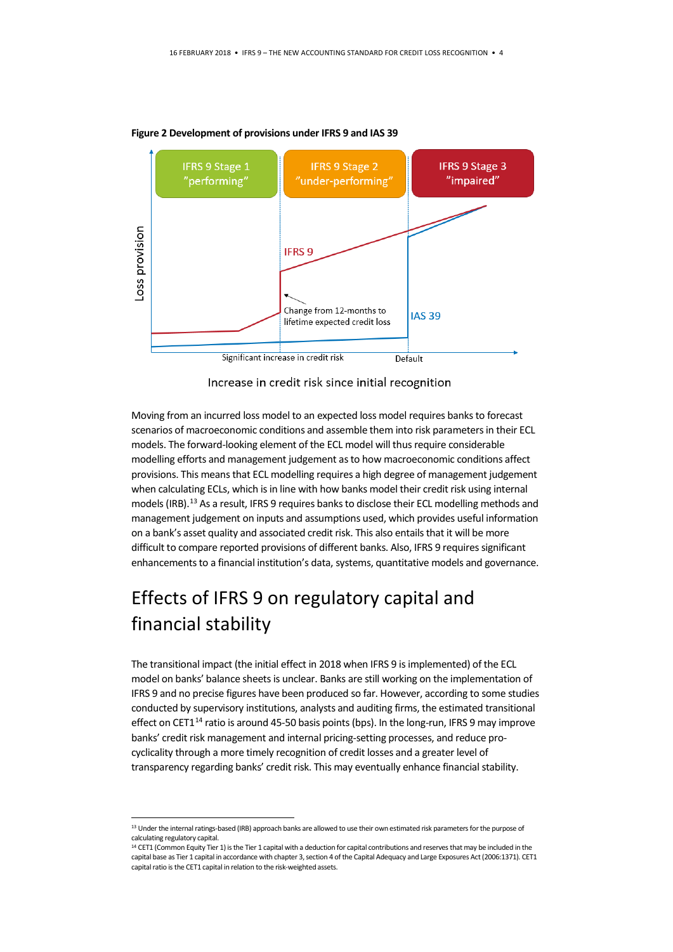



Increase in credit risk since initial recognition

Moving from an incurred loss model to an expected loss model requires banks to forecast scenarios of macroeconomic conditions and assemble them into risk parameters in their ECL models. The forward-looking element of the ECL model will thus require considerable modelling efforts and management judgement as to how macroeconomic conditions affect provisions. This means that ECL modelling requires a high degree of management judgement when calculating ECLs, which is in line with how banks model their credit risk using internal models (IRB).<sup>[13](#page-3-0)</sup> As a result, IFRS 9 requires banks to disclose their ECL modelling methods and management judgement on inputs and assumptions used, which provides useful information on a bank's asset quality and associated credit risk. This also entails that it will be more difficult to compare reported provisions of different banks. Also, IFRS 9 requires significant enhancements to a financial institution's data, systems, quantitative models and governance.

# Effects of IFRS 9 on regulatory capital and financial stability

The transitional impact (the initial effect in 2018 when IFRS 9 is implemented) of the ECL model on banks' balance sheets is unclear. Banks are still working on the implementation of IFRS 9 and no precise figures have been produced so far. However, according to some studies conducted by supervisory institutions, analysts and auditing firms, the estimated transitional effect on CET1<sup>[14](#page-3-1)</sup> ratio is around 45-50 basis points (bps). In the long-run, IFRS 9 may improve banks' credit risk management and internal pricing-setting processes, and reduce procyclicality through a more timely recognition of credit losses and a greater level of transparency regarding banks' credit risk. This may eventually enhance financial stability.

<span id="page-3-0"></span><sup>13</sup> Under the internal ratings-based (IRB) approach banks are allowed to use their own estimated risk parameters for the purpose of calculating regulatory capital.

<span id="page-3-1"></span><sup>&</sup>lt;sup>14</sup> CET1 (Common Equity Tier 1) is the Tier 1 capital with a deduction for capital contributions and reserves that may be included in the capital base as Tier 1 capital in accordance with chapter 3, section 4 of the Capital Adequacy and Large Exposures Act (2006:1371). CET1 capital ratio is the CET1 capital in relation to the risk-weighted assets.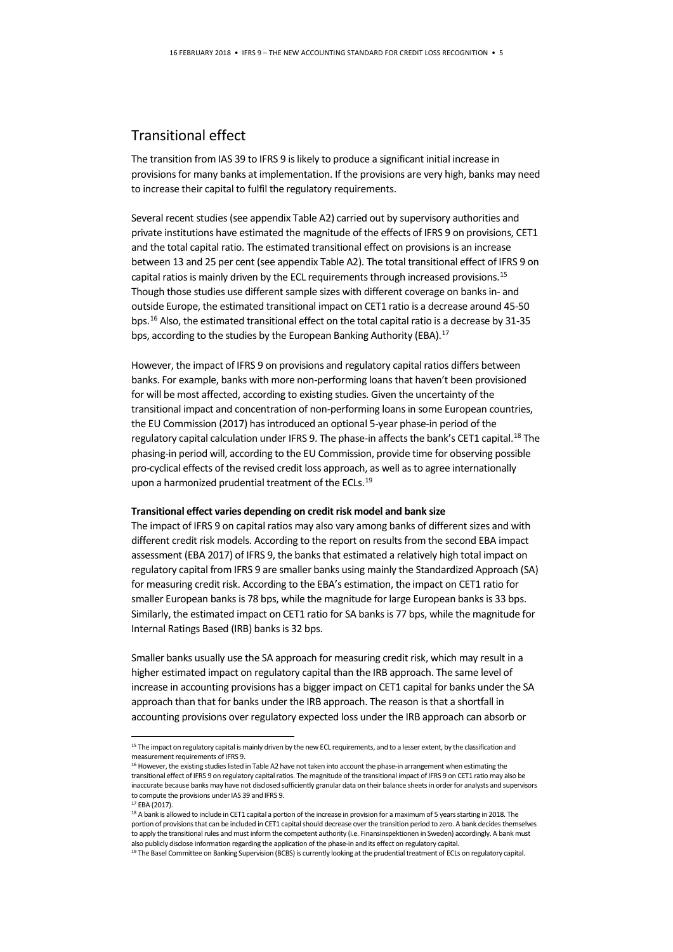#### Transitional effect

The transition from IAS 39 to IFRS 9 is likely to produce a significant initial increase in provisions for many banks at implementation. If the provisions are very high, banks may need to increase their capital to fulfil the regulatory requirements.

Several recent studies(see appendix Table A2) carried out by supervisory authorities and private institutions have estimated the magnitude of the effects of IFRS 9 on provisions, CET1 and the total capital ratio. The estimated transitional effect on provisions is an increase between 13 and 25 per cent (see appendix Table A2). The total transitional effect of IFRS 9 on capital ratios is mainly driven by the ECL requirements through increased provisions.<sup>[15](#page-4-0)</sup> Though those studies use different sample sizes with different coverage on banks in- and outside Europe, the estimated transitional impact on CET1 ratio is a decrease around 45-50 bps.[16](#page-4-1) Also, the estimated transitional effect on the total capital ratio is a decrease by 31-35 bps, according to the studies by the European Banking Authority (EBA). [17](#page-4-2)

However, the impact of IFRS 9 on provisions and regulatory capital ratios differs between banks. For example, banks with more non-performing loans that haven't been provisioned for will be most affected, according to existing studies. Given the uncertainty of the transitional impact and concentration of non-performing loans in some European countries, the EU Commission (2017) has introduced an optional 5-year phase-in period of the regulatory capital calculation under IFRS 9. The phase-in affects the bank's CET1 capital.<sup>[18](#page-4-3)</sup> The phasing-in period will, according to the EU Commission, provide time for observing possible pro-cyclical effects of the revised credit loss approach, as well as to agree internationally upon a harmonized prudential treatment of the ECLs. [19](#page-4-4)

#### **Transitional effect varies depending on credit risk model and bank size**

The impact of IFRS 9 on capital ratios may also vary among banks of different sizes and with different credit risk models. According to the report on results from the second EBA impact assessment (EBA 2017) of IFRS 9, the banks that estimated a relatively high total impact on regulatory capital from IFRS 9 are smaller banks using mainly the Standardized Approach (SA) for measuring credit risk. According to the EBA's estimation, the impact on CET1 ratio for smaller European banks is 78 bps, while the magnitude for large European banks is 33 bps. Similarly, the estimated impact on CET1 ratio for SA banks is 77 bps, while the magnitude for Internal Ratings Based (IRB) banks is 32 bps.

Smaller banks usually use the SA approach for measuring credit risk, which may result in a higher estimated impact on regulatory capital than the IRB approach. The same level of increase in accounting provisions has a bigger impact on CET1 capital for banks under the SA approach than that for banks under the IRB approach. The reason is that a shortfall in accounting provisions over regulatory expected loss under the IRB approach can absorb or

<span id="page-4-0"></span><sup>&</sup>lt;sup>15</sup> The impact on regulatory capital is mainly driven by the new ECL requirements, and to a lesser extent, by the classification and measurement requirements of IFRS 9.

<span id="page-4-1"></span><sup>&</sup>lt;sup>16</sup> However, the existing studies listed in Table A2 have not taken into account the phase-in arrangement when estimating the transitional effect of IFRS 9 on regulatory capital ratios. The magnitude of the transitional impact of IFRS 9 on CET1 ratio may also be inaccurate because banks may have not disclosed sufficiently granular data on their balance sheets in order for analysts and supervisors to compute the provisions under IAS 39 and IFRS 9.

<sup>17</sup> EBA (2017).

<span id="page-4-3"></span><span id="page-4-2"></span><sup>&</sup>lt;sup>18</sup> A bank is allowed to include in CET1 capital a portion of the increase in provision for a maximum of 5 years starting in 2018. The portion of provisions that can be included in CET1 capital should decrease over the transition period to zero. A bank decides themselves to apply the transitional rules and must inform the competent authority (i.e. Finansinspektionen in Sweden) accordingly. A bank must also publicly disclose information regarding the application of the phase-in and its effect on regulatory capital.

<span id="page-4-4"></span><sup>&</sup>lt;sup>19</sup> The Basel Committee on Banking Supervision (BCBS) is currently looking at the prudential treatment of ECLs on regulatory capital.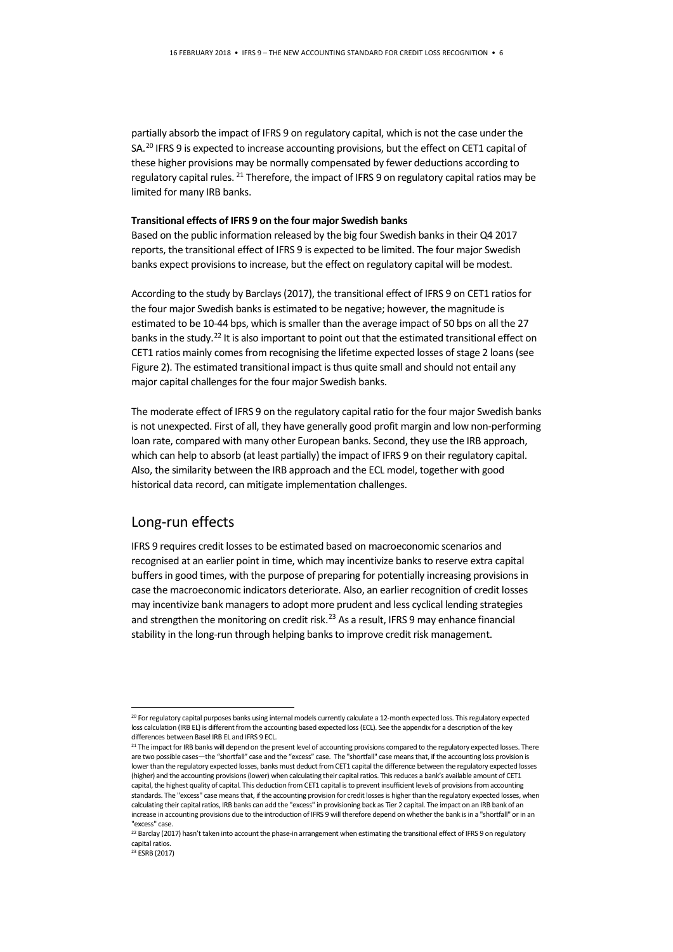partially absorb the impact of IFRS 9 on regulatory capital, which is not the case under the SA.<sup>[20](#page-5-0)</sup> IFRS 9 is expected to increase accounting provisions, but the effect on CET1 capital of these higher provisions may be normally compensated by fewer deductions according to regulatory capital rules. <sup>[21](#page-5-1)</sup> Therefore, the impact of IFRS 9 on regulatory capital ratios may be limited for many IRB banks.

#### **Transitional effects of IFRS 9 on the four major Swedish banks**

Based on the public information released by the big four Swedish banks in their Q4 2017 reports, the transitional effect of IFRS 9 is expected to be limited. The four major Swedish banks expect provisions to increase, but the effect on regulatory capital will be modest.

According to the study by Barclays (2017), the transitional effect of IFRS 9 on CET1 ratios for the four major Swedish banks is estimated to be negative; however, the magnitude is estimated to be 10-44 bps, which is smaller than the average impact of 50 bps on all the 27 banks in the study.<sup>22</sup> It is also important to point out that the estimated transitional effect on CET1 ratios mainly comes from recognising the lifetime expected losses of stage 2 loans(see Figure 2). The estimated transitional impact is thus quite small and should not entail any major capital challenges for the four major Swedish banks.

The moderate effect of IFRS 9 on the regulatory capital ratio for the four major Swedish banks is not unexpected. First of all, they have generally good profit margin and low non-performing loan rate, compared with many other European banks. Second, they use the IRB approach, which can help to absorb (at least partially) the impact of IFRS 9 on their regulatory capital. Also, the similarity between the IRB approach and the ECL model, together with good historical data record, can mitigate implementation challenges.

#### Long-run effects

IFRS 9 requires credit losses to be estimated based on macroeconomic scenarios and recognised at an earlier point in time, which may incentivize banks to reserve extra capital buffers in good times, with the purpose of preparing for potentially increasing provisions in case the macroeconomic indicators deteriorate. Also, an earlier recognition of credit losses may incentivize bank managers to adopt more prudent and less cyclical lending strategies and strengthen the monitoring on credit risk.<sup>[23](#page-5-3)</sup> As a result, IFRS 9 may enhance financial stability in the long-run through helping banks to improve credit risk management.

<span id="page-5-0"></span><sup>&</sup>lt;sup>20</sup> For regulatory capital purposes banks using internal models currently calculate a 12-month expected loss. This regulatory expected loss calculation (IRB EL) is different from the accounting based expected loss (ECL). See the appendix for a description of the key differences between Basel IRB EL and IFRS 9 ECL.

<span id="page-5-1"></span><sup>&</sup>lt;sup>21</sup> The impact for IRB banks will depend on the present level of accounting provisions compared to the regulatory expected losses. There are two possible cases—the "shortfall" case and the "excess" case. The "shortfall" case means that, if the accounting loss provision is lower than the regulatory expected losses, banks must deduct from CET1 capital the difference between the regulatory expected losses (higher) and the accounting provisions (lower) when calculating their capital ratios. This reduces a bank's available amount of CET1 capital, the highest quality of capital. This deduction from CET1 capital is to prevent insufficient levels of provisions from accounting standards. The "excess" case means that, if the accounting provision for credit losses is higher than the regulatory expected losses, when calculating their capital ratios, IRB banks can add the "excess" in provisioning back as Tier 2 capital. The impact on an IRB bank of an increase in accounting provisions due to the introduction of IFRS 9 will therefore depend on whether the bank is in a "shortfall" or in an "excess" case.

<span id="page-5-2"></span><sup>&</sup>lt;sup>22</sup> Barclay (2017) hasn't taken into account the phase-in arrangement when estimating the transitional effect of IFRS 9 on regulatory capital ratios.

<span id="page-5-3"></span><sup>23</sup> ESRB (2017)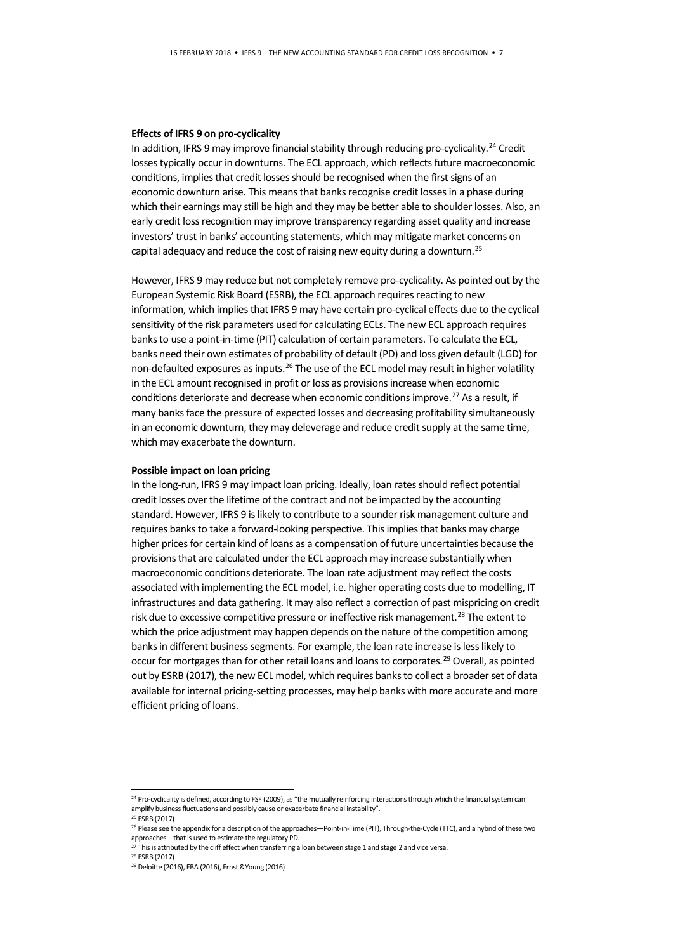#### **Effects of IFRS 9 on pro-cyclicality**

In addition, IFRS 9 may improve financial stability through reducing pro-cyclicality.<sup>[24](#page-6-0)</sup> Credit losses typically occur in downturns. The ECL approach, which reflects future macroeconomic conditions, implies that credit losses should be recognised when the first signs of an economic downturn arise. This means that banks recognise credit losses in a phase during which their earnings may still be high and they may be better able to shoulder losses. Also, an early credit loss recognition may improve transparency regarding asset quality and increase investors' trust in banks' accounting statements, which may mitigate market concerns on capital adequacy and reduce the cost of raising new equity during a downturn.[25](#page-6-1) 

However, IFRS 9 may reduce but not completely remove pro-cyclicality. As pointed out by the European Systemic Risk Board (ESRB), the ECL approach requires reacting to new information, which implies that IFRS 9 may have certain pro-cyclical effects due to the cyclical sensitivity of the risk parameters used for calculating ECLs. The new ECL approach requires banks to use a point-in-time (PIT) calculation of certain parameters. To calculate the ECL, banks need their own estimates of probability of default (PD) and loss given default (LGD) for non-defaulted exposures as inputs.<sup>[26](#page-6-2)</sup> The use of the ECL model may result in higher volatility in the ECL amount recognised in profit or loss as provisions increase when economic conditions deteriorate and decrease when economic conditions improve.<sup>[27](#page-6-3)</sup> As a result, if many banks face the pressure of expected losses and decreasing profitability simultaneously in an economic downturn, they may deleverage and reduce credit supply at the same time, which may exacerbate the downturn.

#### **Possible impact on loan pricing**

In the long-run, IFRS 9 may impact loan pricing. Ideally, loan rates should reflect potential credit losses over the lifetime of the contract and not be impacted by the accounting standard. However, IFRS 9 is likely to contribute to a sounder risk management culture and requires banks to take a forward-looking perspective. This implies that banks may charge higher prices for certain kind of loans as a compensation of future uncertainties because the provisions that are calculated under the ECL approach may increase substantially when macroeconomic conditions deteriorate. The loan rate adjustment may reflect the costs associated with implementing the ECL model, i.e. higher operating costs due to modelling, IT infrastructures and data gathering. It may also reflect a correction of past mispricing on credit risk due to excessive competitive pressure or ineffective risk management.<sup>[28](#page-6-4)</sup> The extent to which the price adjustment may happen depends on the nature of the competition among banks in different business segments. For example, the loan rate increase is less likely to occur for mortgages than for other retail loans and loans to corporates.<sup>[29](#page-6-5)</sup> Overall, as pointed out by ESRB (2017), the new ECL model, which requires banks to collect a broader set of data available for internal pricing-setting processes, may help banks with more accurate and more efficient pricing of loans.

<span id="page-6-0"></span><sup>&</sup>lt;sup>24</sup> Pro-cyclicality is defined, according to FSF (2009), as "the mutually reinforcing interactions through which the financial system can amplify business fluctuations and possibly cause or exacerbate financial instability".

<sup>25</sup> ESRB (2017)

<span id="page-6-2"></span><span id="page-6-1"></span><sup>&</sup>lt;sup>26</sup> Please see the appendix for a description of the approaches-Point-in-Time (PIT), Through-the-Cycle (TTC), and a hybrid of these two approaches—that is used to estimate the regulatory PD.

<span id="page-6-3"></span> $^{27}$  This is attributed by the cliff effect when transferring a loan between stage 1 and stage 2 and vice versa.

<span id="page-6-4"></span><sup>28</sup> ESRB (2017)

<span id="page-6-5"></span><sup>29</sup> Deloitte (2016), EBA (2016), Ernst &Young (2016)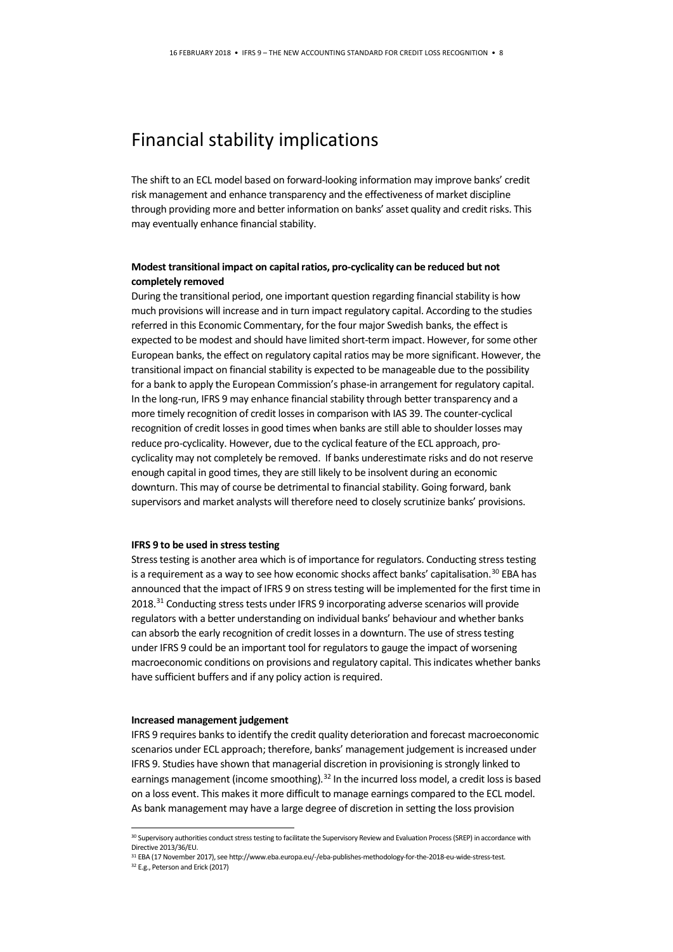### Financial stability implications

The shift to an ECL model based on forward-looking information may improve banks' credit risk management and enhance transparency and the effectiveness of market discipline through providing more and better information on banks' asset quality and credit risks. This may eventually enhance financial stability.

#### **Modest transitional impact on capital ratios, pro-cyclicality can be reduced but not completely removed**

During the transitional period, one important question regarding financial stability is how much provisions will increase and in turn impact regulatory capital. According to the studies referred in this Economic Commentary, for the four major Swedish banks, the effect is expected to be modest and should have limited short-term impact. However, for some other European banks, the effect on regulatory capital ratios may be more significant. However, the transitional impact on financial stability is expected to be manageable due to the possibility for a bank to apply the European Commission's phase-in arrangement for regulatory capital. In the long-run, IFRS 9 may enhance financial stability through better transparency and a more timely recognition of credit losses in comparison with IAS 39. The counter-cyclical recognition of credit losses in good times when banks are still able to shoulder losses may reduce pro-cyclicality. However, due to the cyclical feature of the ECL approach, procyclicality may not completely be removed. If banks underestimate risks and do not reserve enough capital in good times, they are still likely to be insolvent during an economic downturn. This may of course be detrimental to financial stability. Going forward, bank supervisors and market analysts will therefore need to closely scrutinize banks' provisions.

#### **IFRS 9 to be used in stress testing**

Stress testing is another area which is of importance for regulators. Conducting stress testing is a requirement as a way to see how economic shocks affect banks' capitalisation.<sup>[30](#page-7-0)</sup> EBA has announced that the impact of IFRS 9 on stress testing will be implemented for the first time in 2018.[31](#page-7-1) Conducting stress tests under IFRS 9 incorporating adverse scenarios will provide regulators with a better understanding on individual banks' behaviour and whether banks can absorb the early recognition of credit lossesin a downturn. The use of stress testing under IFRS 9 could be an important tool for regulators to gauge the impact of worsening macroeconomic conditions on provisions and regulatory capital. This indicates whether banks have sufficient buffers and if any policy action is required.

#### **Increased management judgement**

IFRS 9 requires banks to identify the credit quality deterioration and forecast macroeconomic scenarios under ECL approach; therefore, banks' management judgement is increased under IFRS 9. Studies have shown that managerial discretion in provisioning is strongly linked to earnings management (income smoothing).<sup>[32](#page-7-2)</sup> In the incurred loss model, a credit loss is based on a loss event. This makes it more difficult to manage earnings compared to the ECL model. As bank management may have a large degree of discretion in setting the loss provision

<span id="page-7-0"></span><sup>30</sup> Supervisory authorities conduct stress testing to facilitate the Supervisory Review and Evaluation Process (SREP) in accordance with Directive 2013/36/EU.

<span id="page-7-2"></span><span id="page-7-1"></span> $31$  EBA (17 November 2017), see http://www.eba.europa.eu/-/eba-publishes-methodology-for-the-2018-eu-wide-stress-test.  $32$  E.g., Peterson and Erick (2017)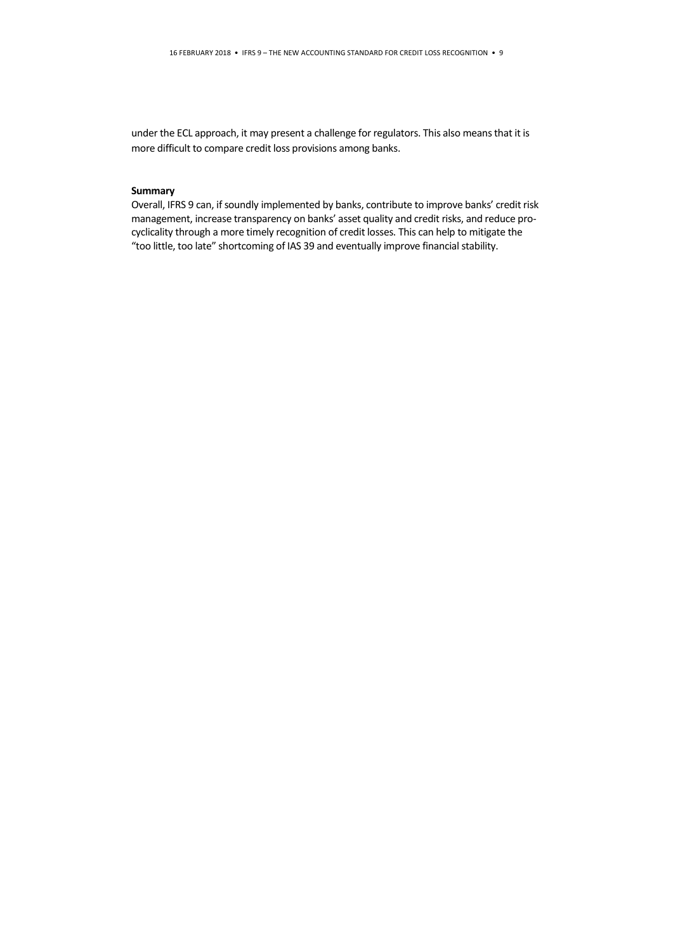under the ECL approach, it may present a challenge for regulators. This also means that it is more difficult to compare credit loss provisions among banks.

#### **Summary**

Overall, IFRS 9 can, if soundly implemented by banks, contribute to improve banks' credit risk management, increase transparency on banks' asset quality and credit risks, and reduce procyclicality through a more timely recognition of credit losses. This can help to mitigate the "too little, too late" shortcoming of IAS 39 and eventually improve financial stability.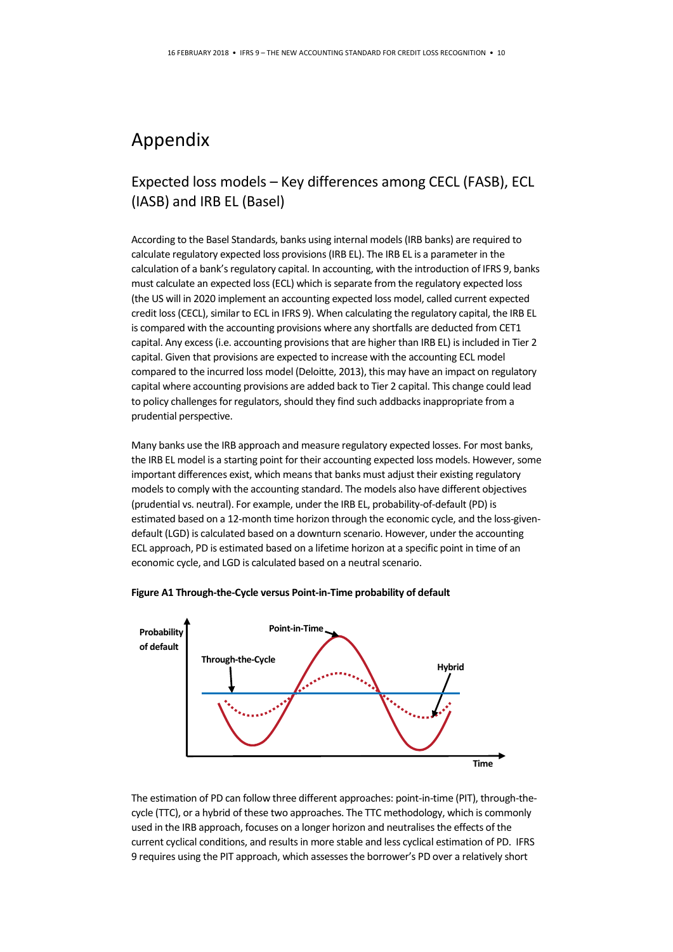### Appendix

### Expected loss models – Key differences among CECL (FASB), ECL (IASB) and IRB EL (Basel)

According to the Basel Standards, banks using internal models (IRB banks) are required to calculate regulatory expected loss provisions (IRB EL). The IRB EL is a parameter in the calculation of a bank's regulatory capital. In accounting, with the introduction of IFRS 9, banks must calculate an expected loss (ECL) which is separate from the regulatory expected loss (the US will in 2020 implement an accounting expected loss model, called current expected credit loss (CECL), similar to ECL in IFRS 9). When calculating the regulatory capital, the IRB EL is compared with the accounting provisions where any shortfalls are deducted from CET1 capital. Any excess (i.e. accounting provisions that are higher than IRB EL) is included in Tier 2 capital. Given that provisions are expected to increase with the accounting ECL model compared to the incurred loss model (Deloitte, 2013), this may have an impact on regulatory capital where accounting provisions are added back to Tier 2 capital. This change could lead to policy challenges for regulators, should they find such addbacks inappropriate from a prudential perspective.

Many banks use the IRB approach and measure regulatory expected losses. For most banks, the IRB EL model is a starting point for their accounting expected loss models. However, some important differences exist, which means that banks must adjust their existing regulatory models to comply with the accounting standard. The models also have different objectives (prudential vs. neutral). For example, under the IRB EL, probability-of-default (PD) is estimated based on a 12-month time horizon through the economic cycle, and the loss-givendefault (LGD) is calculated based on a downturn scenario. However, under the accounting ECL approach, PD is estimated based on a lifetime horizon at a specific point in time of an economic cycle, and LGD is calculated based on a neutral scenario.





The estimation of PD can follow three different approaches: point-in-time (PIT), through-thecycle (TTC), or a hybrid of these two approaches. The TTC methodology, which is commonly used in the IRB approach, focuses on a longer horizon and neutralises the effects of the current cyclical conditions, and results in more stable and less cyclical estimation of PD. IFRS 9 requires using the PIT approach, which assesses the borrower's PD over a relatively short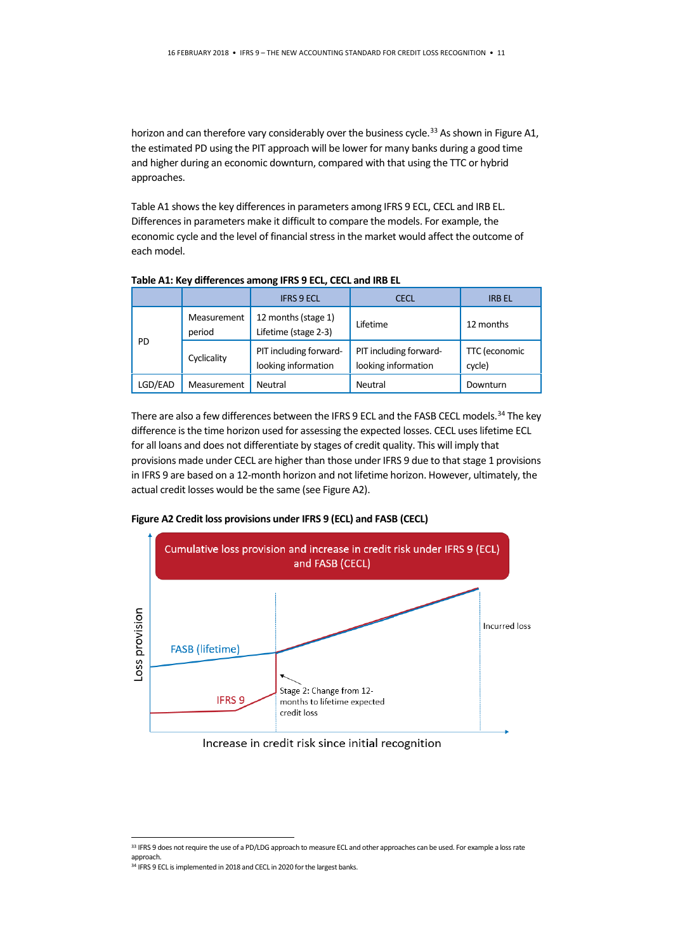horizon and can therefore vary considerably over the business cycle.<sup>[33](#page-10-0)</sup> As shown in Figure A1, the estimated PD using the PIT approach will be lower for many banks during a good time and higher during an economic downturn, compared with that using the TTC or hybrid approaches.

Table A1 shows the key differences in parameters among IFRS 9 ECL, CECL and IRB EL. Differences in parameters make it difficult to compare the models. For example, the economic cycle and the level of financial stress in the market would affect the outcome of each model.

|         |                       | <b>IFRS 9 ECL</b>                             | <b>CECL</b>                                   | <b>IRB EL</b>           |
|---------|-----------------------|-----------------------------------------------|-----------------------------------------------|-------------------------|
| PD      | Measurement<br>period | 12 months (stage 1)<br>Lifetime (stage 2-3)   | Lifetime                                      | 12 months               |
|         | Cyclicality           | PIT including forward-<br>looking information | PIT including forward-<br>looking information | TTC (economic<br>cycle) |
| LGD/EAD | Measurement           | Neutral                                       | Neutral                                       | Downturn                |

**Table A1: Key differences among IFRS 9 ECL, CECL and IRB EL**

There are also a few differences between the IFRS 9 ECL and the FASB CECL models.<sup>[34](#page-10-1)</sup> The key difference is the time horizon used for assessing the expected losses. CECL uses lifetime ECL for all loans and does not differentiate by stages of credit quality. This will imply that provisions made under CECL are higher than those under IFRS 9 due to that stage 1 provisions in IFRS 9 are based on a 12-month horizon and not lifetime horizon. However, ultimately, the actual credit losses would be the same (see Figure A2).



**Figure A2 Credit loss provisions under IFRS 9 (ECL) and FASB (CECL)**

#### Increase in credit risk since initial recognition

<span id="page-10-0"></span><sup>33</sup> IFRS 9 does not require the use of a PD/LDG approach to measure ECL and other approaches can be used. For example a loss rate approach.

<span id="page-10-1"></span><sup>&</sup>lt;sup>34</sup> IFRS 9 ECL is implemented in 2018 and CECL in 2020 for the largest banks.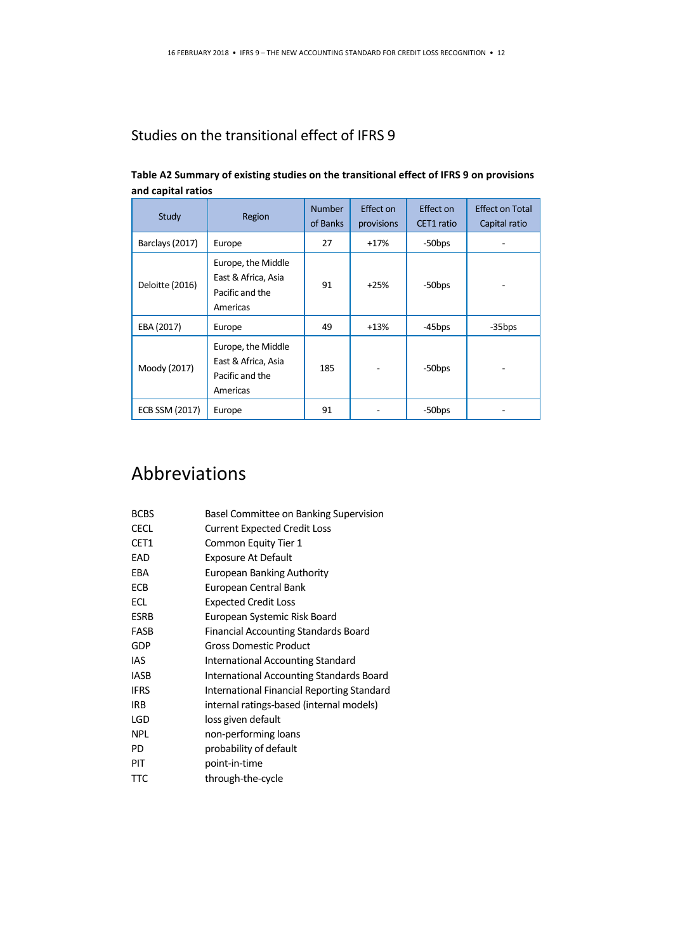### Studies on the transitional effect of IFRS 9

| Study           | Region                                                                   | <b>Number</b><br>of Banks | Effect on<br>provisions | Effect on<br>CET1 ratio | <b>Effect on Total</b><br>Capital ratio |
|-----------------|--------------------------------------------------------------------------|---------------------------|-------------------------|-------------------------|-----------------------------------------|
| Barclays (2017) | Europe                                                                   | 27                        | $+17%$                  | -50bps                  |                                         |
| Deloitte (2016) | Europe, the Middle<br>East & Africa, Asia<br>Pacific and the<br>Americas | 91                        | $+25%$                  | -50 <sub>bps</sub>      |                                         |
| EBA (2017)      | Europe                                                                   | 49                        | $+13%$                  | -45bps                  | -35bps                                  |
| Moody (2017)    | Europe, the Middle<br>East & Africa, Asia<br>Pacific and the<br>Americas | 185                       |                         | -50bps                  |                                         |
| ECB SSM (2017)  | Europe                                                                   | 91                        |                         | -50 <sub>bps</sub>      |                                         |

#### **Table A2 Summary of existing studies on the transitional effect of IFRS 9 on provisions and capital ratios**

### Abbreviations

| <b>BCBS</b> | Basel Committee on Banking Supervision     |
|-------------|--------------------------------------------|
| <b>CECL</b> | <b>Current Expected Credit Loss</b>        |
| CET1        | Common Equity Tier 1                       |
| EAD         | <b>Exposure At Default</b>                 |
| EBA         | European Banking Authority                 |
| ECB         | European Central Bank                      |
| ECL         | <b>Expected Credit Loss</b>                |
| <b>ESRB</b> | European Systemic Risk Board               |
| FASB        | Financial Accounting Standards Board       |
| GDP         | Gross Domestic Product                     |
| IAS         | International Accounting Standard          |
| <b>IASB</b> | International Accounting Standards Board   |
| <b>IFRS</b> | International Financial Reporting Standard |
| IRB         | internal ratings-based (internal models)   |
| LGD         | loss given default                         |
| <b>NPL</b>  | non-performing loans                       |
| PD          | probability of default                     |
| PIT         | point-in-time                              |
| <b>TTC</b>  | through-the-cycle                          |
|             |                                            |